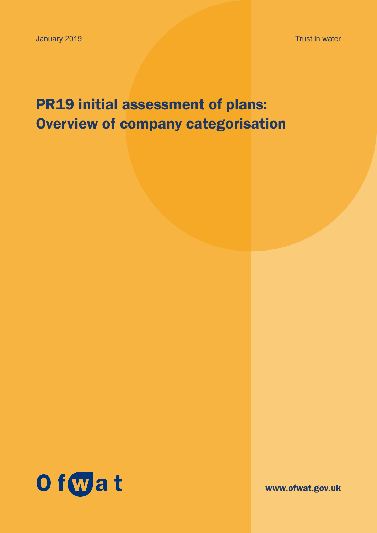Trust in water

# PR19 initial assessment of plans: Overview of company categorisation



www.ofwat.gov.uk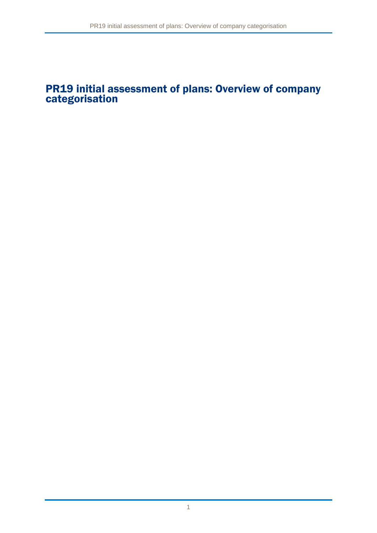### PR19 initial assessment of plans: Overview of company categorisation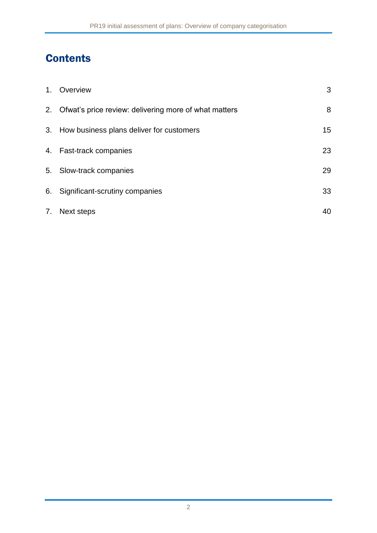# **Contents**

|    | 1. Overview                                              | 3  |
|----|----------------------------------------------------------|----|
|    | 2. Ofwat's price review: delivering more of what matters | 8  |
|    | 3. How business plans deliver for customers              | 15 |
|    | 4. Fast-track companies                                  | 23 |
|    | 5. Slow-track companies                                  | 29 |
|    | 6. Significant-scrutiny companies                        | 33 |
| 7. | Next steps                                               | 40 |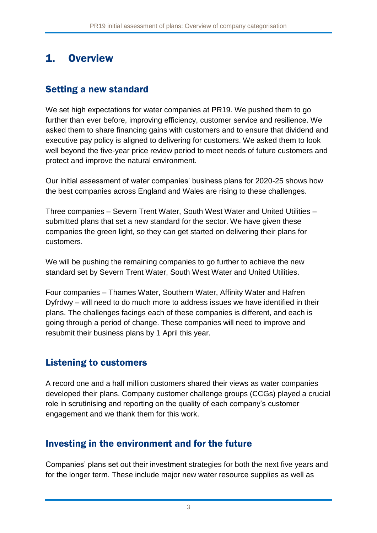# 1. Overview

### Setting a new standard

We set high expectations for water companies at PR19. We pushed them to go further than ever before, improving efficiency, customer service and resilience. We asked them to share financing gains with customers and to ensure that dividend and executive pay policy is aligned to delivering for customers. We asked them to look well beyond the five-year price review period to meet needs of future customers and protect and improve the natural environment.

Our initial assessment of water companies' business plans for 2020-25 shows how the best companies across England and Wales are rising to these challenges.

Three companies – Severn Trent Water, South West Water and United Utilities – submitted plans that set a new standard for the sector. We have given these companies the green light, so they can get started on delivering their plans for customers.

We will be pushing the remaining companies to go further to achieve the new standard set by Severn Trent Water, South West Water and United Utilities.

Four companies – Thames Water, Southern Water, Affinity Water and Hafren Dyfrdwy – will need to do much more to address issues we have identified in their plans. The challenges facings each of these companies is different, and each is going through a period of change. These companies will need to improve and resubmit their business plans by 1 April this year.

### Listening to customers

A record one and a half million customers shared their views as water companies developed their plans. Company customer challenge groups (CCGs) played a crucial role in scrutinising and reporting on the quality of each company's customer engagement and we thank them for this work.

### Investing in the environment and for the future

Companies' plans set out their investment strategies for both the next five years and for the longer term. These include major new water resource supplies as well as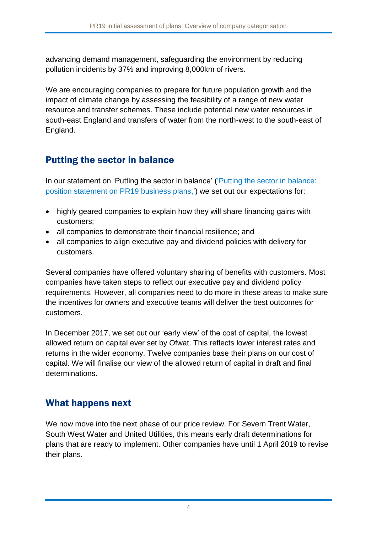advancing demand management, safeguarding the environment by reducing pollution incidents by 37% and improving 8,000km of rivers.

We are encouraging companies to prepare for future population growth and the impact of climate change by assessing the feasibility of a range of new water resource and transfer schemes. These include potential new water resources in south-east England and transfers of water from the north-west to the south-east of England.

### Putting the sector in balance

In our statement on 'Putting the sector in balance' (['Putting the sector in balance:](https://www.ofwat.gov.uk/publication/putting-sector-balance-position-statement-pr19-business-plans/)  [position statement on PR19 business plans,](https://www.ofwat.gov.uk/publication/putting-sector-balance-position-statement-pr19-business-plans/)') we set out our expectations for:

- highly geared companies to explain how they will share financing gains with customers;
- all companies to demonstrate their financial resilience; and
- all companies to align executive pay and dividend policies with delivery for customers.

Several companies have offered voluntary sharing of benefits with customers. Most companies have taken steps to reflect our executive pay and dividend policy requirements. However, all companies need to do more in these areas to make sure the incentives for owners and executive teams will deliver the best outcomes for customers.

In December 2017, we set out our 'early view' of the cost of capital, the lowest allowed return on capital ever set by Ofwat. This reflects lower interest rates and returns in the wider economy. Twelve companies base their plans on our cost of capital. We will finalise our view of the allowed return of capital in draft and final determinations.

### What happens next

We now move into the next phase of our price review. For Severn Trent Water, South West Water and United Utilities, this means early draft determinations for plans that are ready to implement. Other companies have until 1 April 2019 to revise their plans.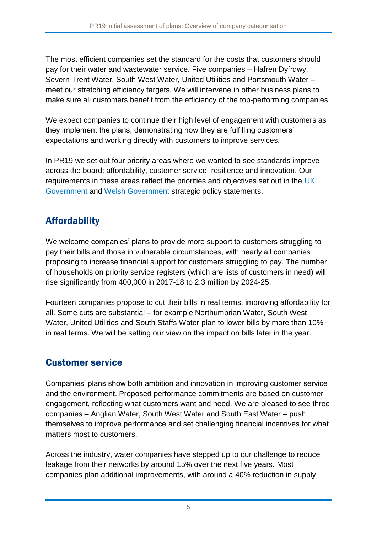The most efficient companies set the standard for the costs that customers should pay for their water and wastewater service. Five companies – Hafren Dyfrdwy, Severn Trent Water, South West Water, United Utilities and Portsmouth Water – meet our stretching efficiency targets. We will intervene in other business plans to make sure all customers benefit from the efficiency of the top-performing companies.

We expect companies to continue their high level of engagement with customers as they implement the plans, demonstrating how they are fulfilling customers' expectations and working directly with customers to improve services.

In PR19 we set out four priority areas where we wanted to see standards improve across the board: affordability, customer service, resilience and innovation. Our requirements in these areas reflect the priorities and objectives set out in the [UK](https://www.gov.uk/government/publications/strategic-policy-statement-to-ofwat-incorporating-social-and-environmental-guidance)  [Government](https://www.gov.uk/government/publications/strategic-policy-statement-to-ofwat-incorporating-social-and-environmental-guidance) and [Welsh Government](https://gov.wales/docs/desh/publications/180123-strategic-policy-statement-en.pdf) strategic policy statements.

# Affordability

We welcome companies' plans to provide more support to customers struggling to pay their bills and those in vulnerable circumstances, with nearly all companies proposing to increase financial support for customers struggling to pay. The number of households on priority service registers (which are lists of customers in need) will rise significantly from 400,000 in 2017-18 to 2.3 million by 2024-25.

Fourteen companies propose to cut their bills in real terms, improving affordability for all. Some cuts are substantial – for example Northumbrian Water, South West Water, United Utilities and South Staffs Water plan to lower bills by more than 10% in real terms. We will be setting our view on the impact on bills later in the year.

### Customer service

Companies' plans show both ambition and innovation in improving customer service and the environment. Proposed performance commitments are based on customer engagement, reflecting what customers want and need. We are pleased to see three companies – Anglian Water, South West Water and South East Water – push themselves to improve performance and set challenging financial incentives for what matters most to customers.

Across the industry, water companies have stepped up to our challenge to reduce leakage from their networks by around 15% over the next five years. Most companies plan additional improvements, with around a 40% reduction in supply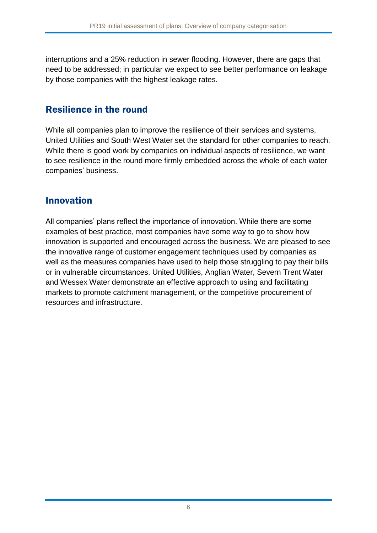interruptions and a 25% reduction in sewer flooding. However, there are gaps that need to be addressed; in particular we expect to see better performance on leakage by those companies with the highest leakage rates.

#### Resilience in the round

While all companies plan to improve the resilience of their services and systems, United Utilities and South West Water set the standard for other companies to reach. While there is good work by companies on individual aspects of resilience, we want to see resilience in the round more firmly embedded across the whole of each water companies' business.

#### Innovation

All companies' plans reflect the importance of innovation. While there are some examples of best practice, most companies have some way to go to show how innovation is supported and encouraged across the business. We are pleased to see the innovative range of customer engagement techniques used by companies as well as the measures companies have used to help those struggling to pay their bills or in vulnerable circumstances. United Utilities, Anglian Water, Severn Trent Water and Wessex Water demonstrate an effective approach to using and facilitating markets to promote catchment management, or the competitive procurement of resources and infrastructure.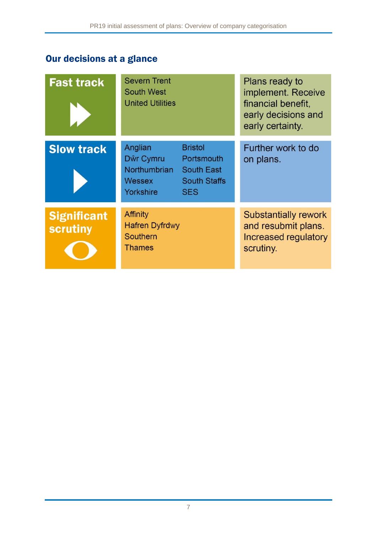# Our decisions at a glance

| <b>Fast track</b>                     | <b>Severn Trent</b><br><b>South West</b><br><b>United Utilities</b>   |                                                                                        | Plans ready to<br>implement. Receive<br>financial benefit,<br>early decisions and<br>early certainty. |
|---------------------------------------|-----------------------------------------------------------------------|----------------------------------------------------------------------------------------|-------------------------------------------------------------------------------------------------------|
| <b>Slow track</b>                     | Anglian<br>Dŵr Cymru<br>Northumbrian<br><b>Wessex</b><br>Yorkshire    | <b>Bristol</b><br>Portsmouth<br><b>South East</b><br><b>South Staffs</b><br><b>SES</b> | Further work to do<br>on plans.                                                                       |
| <b>Significant</b><br><b>scrutiny</b> | <b>Affinity</b><br><b>Hafren Dyfrdwy</b><br>Southern<br><b>Thames</b> |                                                                                        | <b>Substantially rework</b><br>and resubmit plans.<br>Increased regulatory<br>scrutiny.               |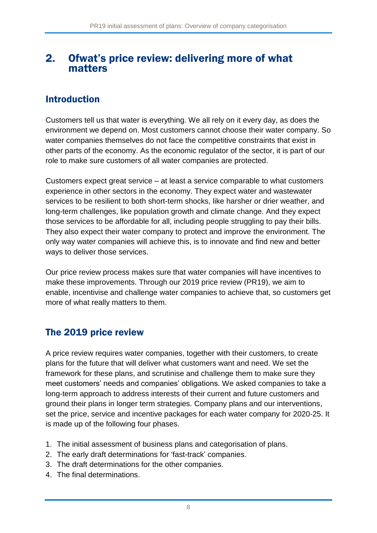### 2. Ofwat's price review: delivering more of what matters

### Introduction

Customers tell us that water is everything. We all rely on it every day, as does the environment we depend on. Most customers cannot choose their water company. So water companies themselves do not face the competitive constraints that exist in other parts of the economy. As the economic regulator of the sector, it is part of our role to make sure customers of all water companies are protected.

Customers expect great service – at least a service comparable to what customers experience in other sectors in the economy. They expect water and wastewater services to be resilient to both short-term shocks, like harsher or drier weather, and long-term challenges, like population growth and climate change. And they expect those services to be affordable for all, including people struggling to pay their bills. They also expect their water company to protect and improve the environment. The only way water companies will achieve this, is to innovate and find new and better ways to deliver those services.

Our price review process makes sure that water companies will have incentives to make these improvements. Through our 2019 price review (PR19), we aim to enable, incentivise and challenge water companies to achieve that, so customers get more of what really matters to them.

### The 2019 price review

A price review requires water companies, together with their customers, to create plans for the future that will deliver what customers want and need. We set the framework for these plans, and scrutinise and challenge them to make sure they meet customers' needs and companies' obligations. We asked companies to take a long-term approach to address interests of their current and future customers and ground their plans in longer term strategies. Company plans and our interventions, set the price, service and incentive packages for each water company for 2020-25. It is made up of the following four phases.

- 1. The initial assessment of business plans and categorisation of plans.
- 2. The early draft determinations for 'fast-track' companies.
- 3. The draft determinations for the other companies.
- 4. The final determinations.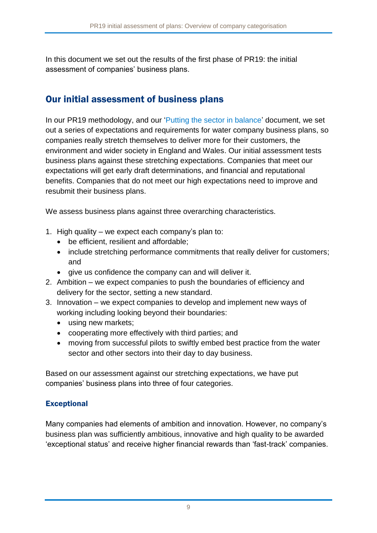In this document we set out the results of the first phase of PR19: the initial assessment of companies' business plans.

### Our initial assessment of business plans

In our PR19 methodology, and our ['Putting the sector in balance'](https://www.ofwat.gov.uk/publication/putting-sector-balance-position-statement-pr19-business-plans/) document, we set out a series of expectations and requirements for water company business plans, so companies really stretch themselves to deliver more for their customers, the environment and wider society in England and Wales. Our initial assessment tests business plans against these stretching expectations. Companies that meet our expectations will get early draft determinations, and financial and reputational benefits. Companies that do not meet our high expectations need to improve and resubmit their business plans.

We assess business plans against three overarching characteristics.

- 1. High quality we expect each company's plan to:
	- be efficient, resilient and affordable;
	- include stretching performance commitments that really deliver for customers; and
	- give us confidence the company can and will deliver it.
- 2. Ambition we expect companies to push the boundaries of efficiency and delivery for the sector, setting a new standard.
- 3. Innovation we expect companies to develop and implement new ways of working including looking beyond their boundaries:
	- using new markets:
	- cooperating more effectively with third parties; and
	- moving from successful pilots to swiftly embed best practice from the water sector and other sectors into their day to day business.

Based on our assessment against our stretching expectations, we have put companies' business plans into three of four categories.

#### **Exceptional**

Many companies had elements of ambition and innovation. However, no company's business plan was sufficiently ambitious, innovative and high quality to be awarded 'exceptional status' and receive higher financial rewards than 'fast-track' companies.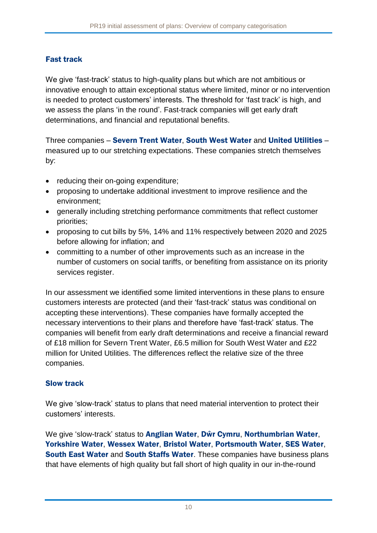#### Fast track

We give 'fast-track' status to high-quality plans but which are not ambitious or innovative enough to attain exceptional status where limited, minor or no intervention is needed to protect customers' interests. The threshold for 'fast track' is high, and we assess the plans 'in the round'. Fast-track companies will get early draft determinations, and financial and reputational benefits.

Three companies – Severn Trent Water, South West Water and United Utilities – measured up to our stretching expectations. These companies stretch themselves by:

- reducing their on-going expenditure;
- proposing to undertake additional investment to improve resilience and the environment;
- generally including stretching performance commitments that reflect customer priorities;
- proposing to cut bills by 5%, 14% and 11% respectively between 2020 and 2025 before allowing for inflation; and
- committing to a number of other improvements such as an increase in the number of customers on social tariffs, or benefiting from assistance on its priority services register.

In our assessment we identified some limited interventions in these plans to ensure customers interests are protected (and their 'fast-track' status was conditional on accepting these interventions). These companies have formally accepted the necessary interventions to their plans and therefore have 'fast-track' status. The companies will benefit from early draft determinations and receive a financial reward of £18 million for Severn Trent Water, £6.5 million for South West Water and £22 million for United Utilities. The differences reflect the relative size of the three companies.

#### Slow track

We give 'slow-track' status to plans that need material intervention to protect their customers' interests.

We give 'slow-track' status to Anglian Water, Dŵr Cymru, Northumbrian Water, Yorkshire Water, Wessex Water, Bristol Water, Portsmouth Water, SES Water, South East Water and South Staffs Water. These companies have business plans that have elements of high quality but fall short of high quality in our in-the-round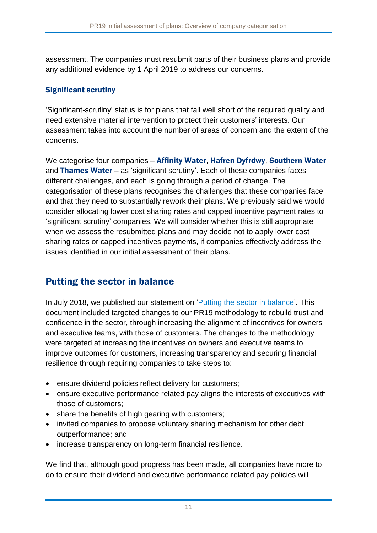assessment. The companies must resubmit parts of their business plans and provide any additional evidence by 1 April 2019 to address our concerns.

#### Significant scrutiny

'Significant-scrutiny' status is for plans that fall well short of the required quality and need extensive material intervention to protect their customers' interests. Our assessment takes into account the number of areas of concern and the extent of the concerns.

We categorise four companies - Affinity Water, Hafren Dyfrdwy, Southern Water and Thames Water – as 'significant scrutiny'. Each of these companies faces different challenges, and each is going through a period of change. The categorisation of these plans recognises the challenges that these companies face and that they need to substantially rework their plans. We previously said we would consider allocating lower cost sharing rates and capped incentive payment rates to 'significant scrutiny' companies. We will consider whether this is still appropriate when we assess the resubmitted plans and may decide not to apply lower cost sharing rates or capped incentives payments, if companies effectively address the issues identified in our initial assessment of their plans.

### Putting the sector in balance

In July 2018, we published our statement on ['Putting the sector in balance'](https://www.ofwat.gov.uk/publication/putting-sector-balance-position-statement-pr19-business-plans/). This document included targeted changes to our PR19 methodology to rebuild trust and confidence in the sector, through increasing the alignment of incentives for owners and executive teams, with those of customers. The changes to the methodology were targeted at increasing the incentives on owners and executive teams to improve outcomes for customers, increasing transparency and securing financial resilience through requiring companies to take steps to:

- ensure dividend policies reflect delivery for customers;
- ensure executive performance related pay aligns the interests of executives with those of customers;
- share the benefits of high gearing with customers;
- invited companies to propose voluntary sharing mechanism for other debt outperformance; and
- increase transparency on long-term financial resilience.

We find that, although good progress has been made, all companies have more to do to ensure their dividend and executive performance related pay policies will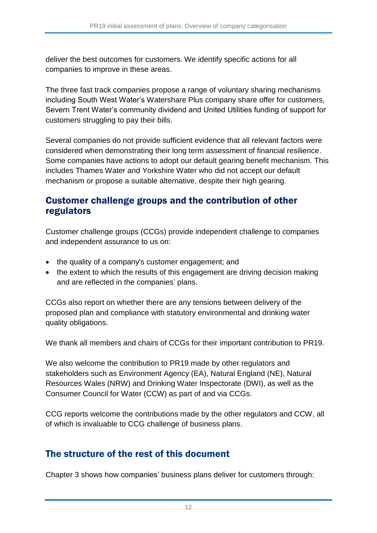deliver the best outcomes for customers. We identify specific actions for all companies to improve in these areas.

The three fast track companies propose a range of voluntary sharing mechanisms including South West Water's Watershare Plus company share offer for customers, Severn Trent Water's community dividend and United Utilities funding of support for customers struggling to pay their bills.

Several companies do not provide sufficient evidence that all relevant factors were considered when demonstrating their long term assessment of financial resilience. Some companies have actions to adopt our default gearing benefit mechanism. This includes Thames Water and Yorkshire Water who did not accept our default mechanism or propose a suitable alternative, despite their high gearing.

#### Customer challenge groups and the contribution of other regulators

Customer challenge groups (CCGs) provide independent challenge to companies and independent assurance to us on:

- the quality of a company's customer engagement; and
- the extent to which the results of this engagement are driving decision making and are reflected in the companies' plans.

CCGs also report on whether there are any tensions between delivery of the proposed plan and compliance with statutory environmental and drinking water quality obligations.

We thank all members and chairs of CCGs for their important contribution to PR19.

We also welcome the contribution to PR19 made by other regulators and stakeholders such as Environment Agency (EA), Natural England (NE), Natural Resources Wales (NRW) and Drinking Water Inspectorate (DWI), as well as the Consumer Council for Water (CCW) as part of and via CCGs.

CCG reports welcome the contributions made by the other regulators and CCW, all of which is invaluable to CCG challenge of business plans.

### The structure of the rest of this document

Chapter 3 shows how companies' business plans deliver for customers through: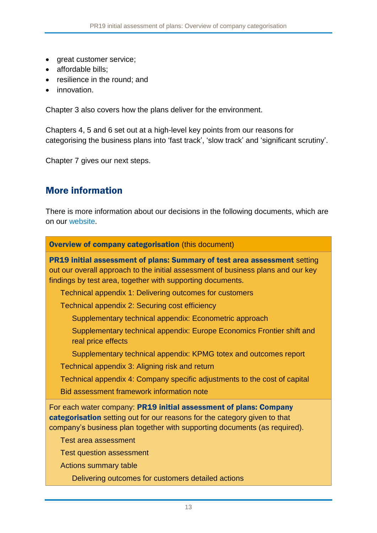- great customer service;
- affordable bills;
- resilience in the round; and
- innovation.

Chapter 3 also covers how the plans deliver for the environment.

Chapters 4, 5 and 6 set out at a high-level key points from our reasons for categorising the business plans into 'fast track', 'slow track' and 'significant scrutiny'.

Chapter 7 gives our next steps.

### More information

There is more information about our decisions in the following documents, which are on our website.

Overview of company categorisation (this document)

PR19 initial assessment of plans: Summary of test area assessment setting out our overall approach to the initial assessment of business plans and our key findings by test area, together with supporting documents.

Technical appendix 1: Delivering outcomes for customers

Technical appendix 2: Securing cost efficiency

Supplementary technical appendix: Econometric approach

Supplementary technical appendix: Europe Economics Frontier shift and real price effects

Supplementary technical appendix: KPMG totex and outcomes report

Technical appendix 3: Aligning risk and return

Technical appendix 4: Company specific adjustments to the cost of capital

Bid assessment framework information note

For each water company: PR19 initial assessment of plans: Company categorisation setting out for our reasons for the category given to that company's business plan together with supporting documents (as required).

Test area assessment

Test question assessment

Actions summary table

Delivering outcomes for customers detailed actions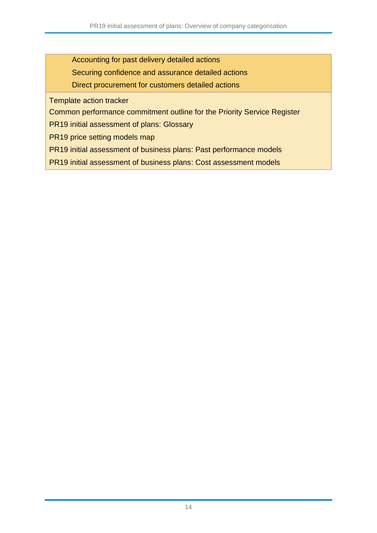Accounting for past delivery detailed actions

Securing confidence and assurance detailed actions

Direct procurement for customers detailed actions

Template action tracker

Common performance commitment outline for the Priority Service Register

PR19 initial assessment of plans: Glossary

PR19 price setting models map

PR19 initial assessment of business plans: Past performance models

PR19 initial assessment of business plans: Cost assessment models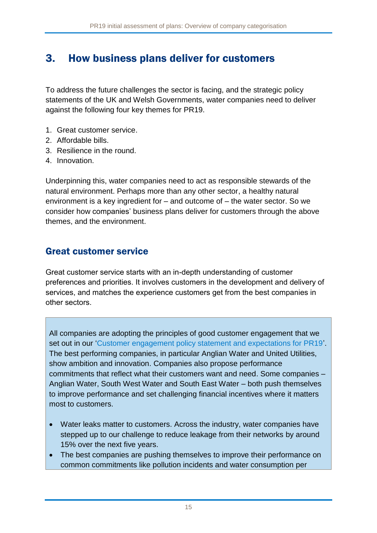# 3. How business plans deliver for customers

To address the future challenges the sector is facing, and the strategic policy statements of the UK and Welsh Governments, water companies need to deliver against the following four key themes for PR19.

- 1. Great customer service.
- 2. Affordable bills.
- 3. Resilience in the round.
- 4. Innovation.

Underpinning this, water companies need to act as responsible stewards of the natural environment. Perhaps more than any other sector, a healthy natural environment is a key ingredient for – and outcome of – the water sector. So we consider how companies' business plans deliver for customers through the above themes, and the environment.

### Great customer service

Great customer service starts with an in-depth understanding of customer preferences and priorities. It involves customers in the development and delivery of services, and matches the experience customers get from the best companies in other sectors.

All companies are adopting the principles of good customer engagement that we set out in our ['Customer engagement policy statement and expectations for PR19'](https://www.ofwat.gov.uk/wp-content/uploads/2015/12/pap_pos20160525w2020cust.pdf). The best performing companies, in particular Anglian Water and United Utilities, show ambition and innovation. Companies also propose performance commitments that reflect what their customers want and need. Some companies – Anglian Water, South West Water and South East Water – both push themselves to improve performance and set challenging financial incentives where it matters most to customers.

- Water leaks matter to customers. Across the industry, water companies have stepped up to our challenge to reduce leakage from their networks by around 15% over the next five years.
- The best companies are pushing themselves to improve their performance on common commitments like pollution incidents and water consumption per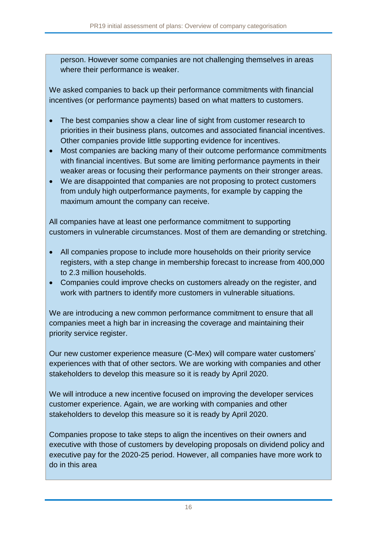person. However some companies are not challenging themselves in areas where their performance is weaker.

We asked companies to back up their performance commitments with financial incentives (or performance payments) based on what matters to customers.

- The best companies show a clear line of sight from customer research to priorities in their business plans, outcomes and associated financial incentives. Other companies provide little supporting evidence for incentives.
- Most companies are backing many of their outcome performance commitments with financial incentives. But some are limiting performance payments in their weaker areas or focusing their performance payments on their stronger areas.
- We are disappointed that companies are not proposing to protect customers from unduly high outperformance payments, for example by capping the maximum amount the company can receive.

All companies have at least one performance commitment to supporting customers in vulnerable circumstances. Most of them are demanding or stretching.

- All companies propose to include more households on their priority service registers, with a step change in membership forecast to increase from 400,000 to 2.3 million households.
- Companies could improve checks on customers already on the register, and work with partners to identify more customers in vulnerable situations.

We are introducing a new common performance commitment to ensure that all companies meet a high bar in increasing the coverage and maintaining their priority service register.

Our new customer experience measure (C-Mex) will compare water customers' experiences with that of other sectors. We are working with companies and other stakeholders to develop this measure so it is ready by April 2020.

We will introduce a new incentive focused on improving the developer services customer experience. Again, we are working with companies and other stakeholders to develop this measure so it is ready by April 2020.

Companies propose to take steps to align the incentives on their owners and executive with those of customers by developing proposals on dividend policy and executive pay for the 2020-25 period. However, all companies have more work to do in this area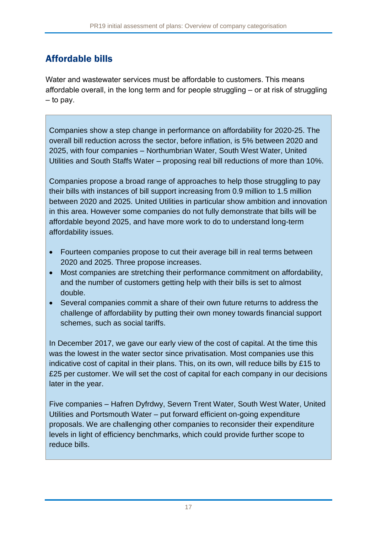# Affordable bills

Water and wastewater services must be affordable to customers. This means affordable overall, in the long term and for people struggling – or at risk of struggling – to pay.

Companies show a step change in performance on affordability for 2020-25. The overall bill reduction across the sector, before inflation, is 5% between 2020 and 2025, with four companies – Northumbrian Water, South West Water, United Utilities and South Staffs Water – proposing real bill reductions of more than 10%.

Companies propose a broad range of approaches to help those struggling to pay their bills with instances of bill support increasing from 0.9 million to 1.5 million between 2020 and 2025. United Utilities in particular show ambition and innovation in this area. However some companies do not fully demonstrate that bills will be affordable beyond 2025, and have more work to do to understand long-term affordability issues.

- Fourteen companies propose to cut their average bill in real terms between 2020 and 2025. Three propose increases.
- Most companies are stretching their performance commitment on affordability, and the number of customers getting help with their bills is set to almost double.
- Several companies commit a share of their own future returns to address the challenge of affordability by putting their own money towards financial support schemes, such as social tariffs.

In December 2017, we gave our early view of the cost of capital. At the time this was the lowest in the water sector since privatisation. Most companies use this indicative cost of capital in their plans. This, on its own, will reduce bills by £15 to £25 per customer. We will set the cost of capital for each company in our decisions later in the year.

Five companies – Hafren Dyfrdwy, Severn Trent Water, South West Water, United Utilities and Portsmouth Water – put forward efficient on-going expenditure proposals. We are challenging other companies to reconsider their expenditure levels in light of efficiency benchmarks, which could provide further scope to reduce bills.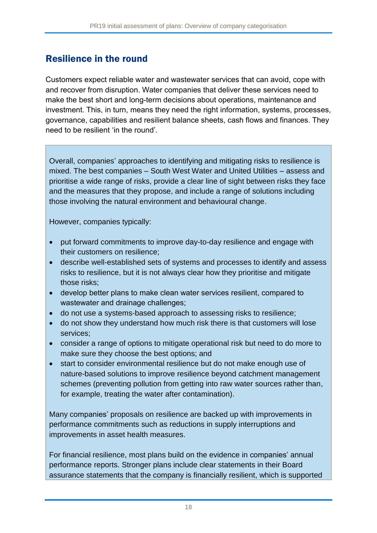### Resilience in the round

Customers expect reliable water and wastewater services that can avoid, cope with and recover from disruption. Water companies that deliver these services need to make the best short and long-term decisions about operations, maintenance and investment. This, in turn, means they need the right information, systems, processes, governance, capabilities and resilient balance sheets, cash flows and finances. They need to be resilient 'in the round'.

Overall, companies' approaches to identifying and mitigating risks to resilience is mixed. The best companies – South West Water and United Utilities – assess and prioritise a wide range of risks, provide a clear line of sight between risks they face and the measures that they propose, and include a range of solutions including those involving the natural environment and behavioural change.

However, companies typically:

- put forward commitments to improve day-to-day resilience and engage with their customers on resilience;
- describe well-established sets of systems and processes to identify and assess risks to resilience, but it is not always clear how they prioritise and mitigate those risks;
- develop better plans to make clean water services resilient, compared to wastewater and drainage challenges;
- do not use a systems-based approach to assessing risks to resilience;
- do not show they understand how much risk there is that customers will lose services;
- consider a range of options to mitigate operational risk but need to do more to make sure they choose the best options; and
- start to consider environmental resilience but do not make enough use of nature-based solutions to improve resilience beyond catchment management schemes (preventing pollution from getting into raw water sources rather than, for example, treating the water after contamination).

Many companies' proposals on resilience are backed up with improvements in performance commitments such as reductions in supply interruptions and improvements in asset health measures.

For financial resilience, most plans build on the evidence in companies' annual performance reports. Stronger plans include clear statements in their Board assurance statements that the company is financially resilient, which is supported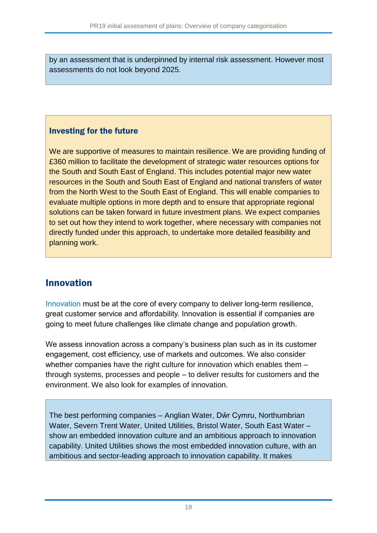by an assessment that is underpinned by internal risk assessment. However most assessments do not look beyond 2025.

#### Investing for the future

We are supportive of measures to maintain resilience. We are providing funding of £360 million to facilitate the development of strategic water resources options for the South and South East of England. This includes potential major new water resources in the South and South East of England and national transfers of water from the North West to the South East of England. This will enable companies to evaluate multiple options in more depth and to ensure that appropriate regional solutions can be taken forward in future investment plans. We expect companies to set out how they intend to work together, where necessary with companies not directly funded under this approach, to undertake more detailed feasibility and planning work.

### Innovation

[Innovation](https://www.ofwat.gov.uk/wp-content/uploads/2017/12/Driving-innovation-in-water-FINAL.pdf) must be at the core of every company to deliver long-term resilience, great customer service and affordability. Innovation is essential if companies are going to meet future challenges like climate change and population growth.

We assess innovation across a company's business plan such as in its customer engagement, cost efficiency, use of markets and outcomes. We also consider whether companies have the right culture for innovation which enables them through systems, processes and people – to deliver results for customers and the environment. We also look for examples of innovation.

The best performing companies – Anglian Water, Dŵr Cymru, Northumbrian Water, Severn Trent Water, United Utilities, Bristol Water, South East Water show an embedded innovation culture and an ambitious approach to innovation capability. United Utilities shows the most embedded innovation culture, with an ambitious and sector-leading approach to innovation capability. It makes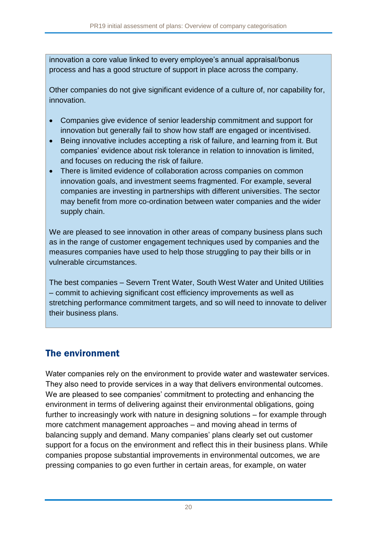innovation a core value linked to every employee's annual appraisal/bonus process and has a good structure of support in place across the company.

Other companies do not give significant evidence of a culture of, nor capability for, innovation.

- Companies give evidence of senior leadership commitment and support for innovation but generally fail to show how staff are engaged or incentivised.
- Being innovative includes accepting a risk of failure, and learning from it. But companies' evidence about risk tolerance in relation to innovation is limited, and focuses on reducing the risk of failure.
- There is limited evidence of collaboration across companies on common innovation goals, and investment seems fragmented. For example, several companies are investing in partnerships with different universities. The sector may benefit from more co-ordination between water companies and the wider supply chain.

We are pleased to see innovation in other areas of company business plans such as in the range of customer engagement techniques used by companies and the measures companies have used to help those struggling to pay their bills or in vulnerable circumstances.

The best companies – Severn Trent Water, South West Water and United Utilities – commit to achieving significant cost efficiency improvements as well as stretching performance commitment targets, and so will need to innovate to deliver their business plans.

### The environment

Water companies rely on the environment to provide water and wastewater services. They also need to provide services in a way that delivers environmental outcomes. We are pleased to see companies' commitment to protecting and enhancing the environment in terms of delivering against their environmental obligations, going further to increasingly work with nature in designing solutions – for example through more catchment management approaches – and moving ahead in terms of balancing supply and demand. Many companies' plans clearly set out customer support for a focus on the environment and reflect this in their business plans. While companies propose substantial improvements in environmental outcomes, we are pressing companies to go even further in certain areas, for example, on water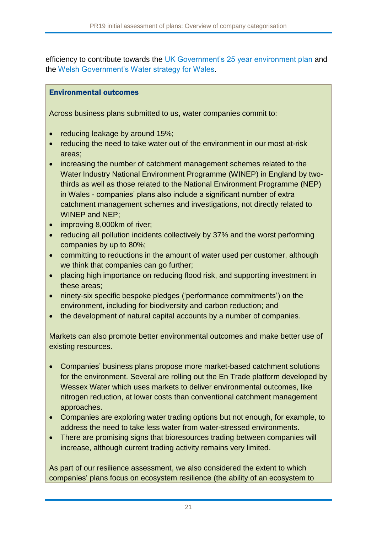efficiency to contribute towards the [UK Government's 25 year environment plan](https://www.gov.uk/government/publications/25-year-environment-plan) and the [Welsh Government's Water strategy for Wales.](https://gov.wales/topics/environmentcountryside/epq/waterflooding/publications/water-strategy/?lang=en)

#### Environmental outcomes

Across business plans submitted to us, water companies commit to:

- reducing leakage by around 15%;
- reducing the need to take water out of the environment in our most at-risk areas;
- increasing the number of catchment management schemes related to the Water Industry National Environment Programme (WINEP) in England by twothirds as well as those related to the National Environment Programme (NEP) in Wales - companies' plans also include a significant number of extra catchment management schemes and investigations, not directly related to WINEP and NEP;
- improving 8,000km of river;
- reducing all pollution incidents collectively by 37% and the worst performing companies by up to 80%;
- committing to reductions in the amount of water used per customer, although we think that companies can go further;
- placing high importance on reducing flood risk, and supporting investment in these areas;
- ninety-six specific bespoke pledges ('performance commitments') on the environment, including for biodiversity and carbon reduction; and
- the development of natural capital accounts by a number of companies.

Markets can also promote better environmental outcomes and make better use of existing resources.

- Companies' business plans propose more market-based catchment solutions for the environment. Several are rolling out the En Trade platform developed by Wessex Water which uses markets to deliver environmental outcomes, like nitrogen reduction, at lower costs than conventional catchment management approaches.
- Companies are exploring water trading options but not enough, for example, to address the need to take less water from water-stressed environments.
- There are promising signs that bioresources trading between companies will increase, although current trading activity remains very limited.

As part of our resilience assessment, we also considered the extent to which companies' plans focus on ecosystem resilience (the ability of an [ecosystem](https://www.britannica.com/science/ecosystem) to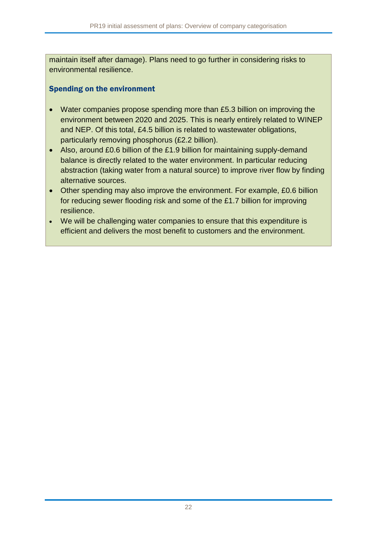maintain itself after damage). Plans need to go further in considering risks to environmental resilience.

#### Spending on the environment

- Water companies propose spending more than £5.3 billion on improving the environment between 2020 and 2025. This is nearly entirely related to WINEP and NEP. Of this total, £4.5 billion is related to wastewater obligations, particularly removing phosphorus (£2.2 billion).
- Also, around £0.6 billion of the £1.9 billion for maintaining supply-demand balance is directly related to the water environment. In particular reducing abstraction (taking water from a natural source) to improve river flow by finding alternative sources.
- Other spending may also improve the environment. For example, £0.6 billion for reducing sewer flooding risk and some of the £1.7 billion for improving resilience.
- We will be challenging water companies to ensure that this expenditure is efficient and delivers the most benefit to customers and the environment.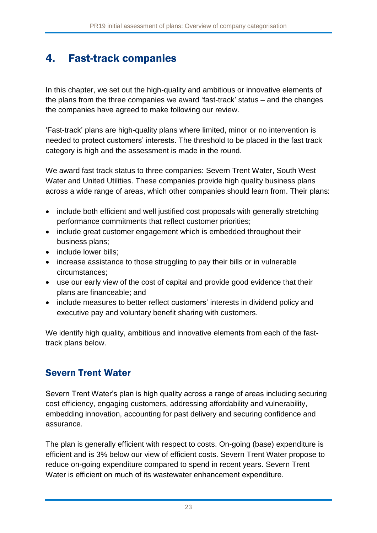# 4. Fast-track companies

In this chapter, we set out the high-quality and ambitious or innovative elements of the plans from the three companies we award 'fast-track' status – and the changes the companies have agreed to make following our review.

'Fast-track' plans are high-quality plans where limited, minor or no intervention is needed to protect customers' interests. The threshold to be placed in the fast track category is high and the assessment is made in the round.

We award fast track status to three companies: Severn Trent Water, South West Water and United Utilities. These companies provide high quality business plans across a wide range of areas, which other companies should learn from. Their plans:

- include both efficient and well justified cost proposals with generally stretching performance commitments that reflect customer priorities;
- include great customer engagement which is embedded throughout their business plans;
- include lower bills;
- increase assistance to those struggling to pay their bills or in vulnerable circumstances;
- use our early view of the cost of capital and provide good evidence that their plans are financeable; and
- include measures to better reflect customers' interests in dividend policy and executive pay and voluntary benefit sharing with customers.

We identify high quality, ambitious and innovative elements from each of the fasttrack plans below.

### Severn Trent Water

Severn Trent Water's plan is high quality across a range of areas including securing cost efficiency, engaging customers, addressing affordability and vulnerability, embedding innovation, accounting for past delivery and securing confidence and assurance.

The plan is generally efficient with respect to costs. On-going (base) expenditure is efficient and is 3% below our view of efficient costs. Severn Trent Water propose to reduce on-going expenditure compared to spend in recent years. Severn Trent Water is efficient on much of its wastewater enhancement expenditure.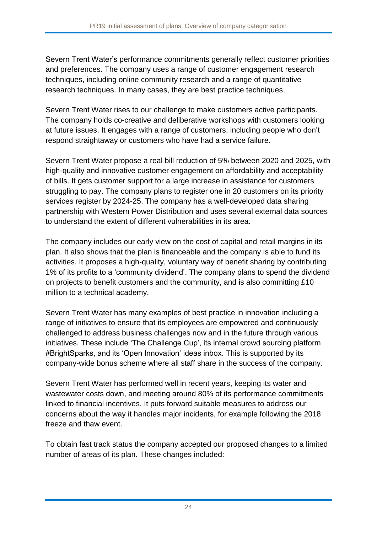Severn Trent Water's performance commitments generally reflect customer priorities and preferences. The company uses a range of customer engagement research techniques, including online community research and a range of quantitative research techniques. In many cases, they are best practice techniques.

Severn Trent Water rises to our challenge to make customers active participants. The company holds co-creative and deliberative workshops with customers looking at future issues. It engages with a range of customers, including people who don't respond straightaway or customers who have had a service failure.

Severn Trent Water propose a real bill reduction of 5% between 2020 and 2025, with high-quality and innovative customer engagement on affordability and acceptability of bills. It gets customer support for a large increase in assistance for customers struggling to pay. The company plans to register one in 20 customers on its priority services register by 2024-25. The company has a well-developed data sharing partnership with Western Power Distribution and uses several external data sources to understand the extent of different vulnerabilities in its area.

The company includes our early view on the cost of capital and retail margins in its plan. It also shows that the plan is financeable and the company is able to fund its activities. It proposes a high-quality, voluntary way of benefit sharing by contributing 1% of its profits to a 'community dividend'. The company plans to spend the dividend on projects to benefit customers and the community, and is also committing £10 million to a technical academy.

Severn Trent Water has many examples of best practice in innovation including a range of initiatives to ensure that its employees are empowered and continuously challenged to address business challenges now and in the future through various initiatives. These include 'The Challenge Cup', its internal crowd sourcing platform #BrightSparks, and its 'Open Innovation' ideas inbox. This is supported by its company-wide bonus scheme where all staff share in the success of the company.

Severn Trent Water has performed well in recent years, keeping its water and wastewater costs down, and meeting around 80% of its performance commitments linked to financial incentives. It puts forward suitable measures to address our concerns about the way it handles major incidents, for example following the 2018 freeze and thaw event.

To obtain fast track status the company accepted our proposed changes to a limited number of areas of its plan. These changes included: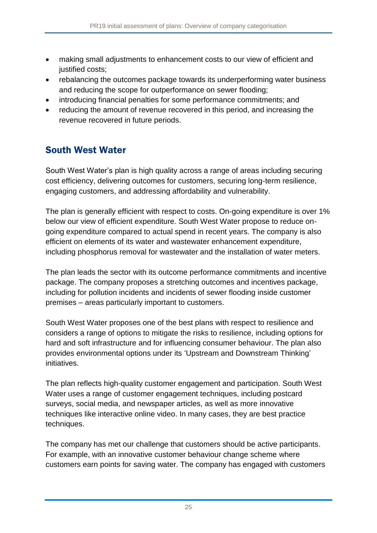- making small adjustments to enhancement costs to our view of efficient and justified costs;
- rebalancing the outcomes package towards its underperforming water business and reducing the scope for outperformance on sewer flooding;
- introducing financial penalties for some performance commitments; and
- reducing the amount of revenue recovered in this period, and increasing the revenue recovered in future periods.

### South West Water

South West Water's plan is high quality across a range of areas including securing cost efficiency, delivering outcomes for customers, securing long-term resilience, engaging customers, and addressing affordability and vulnerability.

The plan is generally efficient with respect to costs. On-going expenditure is over 1% below our view of efficient expenditure. South West Water propose to reduce ongoing expenditure compared to actual spend in recent years. The company is also efficient on elements of its water and wastewater enhancement expenditure, including phosphorus removal for wastewater and the installation of water meters.

The plan leads the sector with its outcome performance commitments and incentive package. The company proposes a stretching outcomes and incentives package, including for pollution incidents and incidents of sewer flooding inside customer premises – areas particularly important to customers.

South West Water proposes one of the best plans with respect to resilience and considers a range of options to mitigate the risks to resilience, including options for hard and soft infrastructure and for influencing consumer behaviour. The plan also provides environmental options under its 'Upstream and Downstream Thinking' initiatives.

The plan reflects high-quality customer engagement and participation. South West Water uses a range of customer engagement techniques, including postcard surveys, social media, and newspaper articles, as well as more innovative techniques like interactive online video. In many cases, they are best practice techniques.

The company has met our challenge that customers should be active participants. For example, with an innovative customer behaviour change scheme where customers earn points for saving water. The company has engaged with customers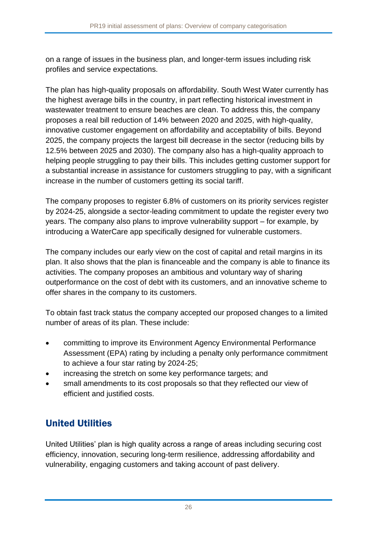on a range of issues in the business plan, and longer-term issues including risk profiles and service expectations.

The plan has high-quality proposals on affordability. South West Water currently has the highest average bills in the country, in part reflecting historical investment in wastewater treatment to ensure beaches are clean. To address this, the company proposes a real bill reduction of 14% between 2020 and 2025, with high-quality, innovative customer engagement on affordability and acceptability of bills. Beyond 2025, the company projects the largest bill decrease in the sector (reducing bills by 12.5% between 2025 and 2030). The company also has a high-quality approach to helping people struggling to pay their bills. This includes getting customer support for a substantial increase in assistance for customers struggling to pay, with a significant increase in the number of customers getting its social tariff.

The company proposes to register 6.8% of customers on its priority services register by 2024-25, alongside a sector-leading commitment to update the register every two years. The company also plans to improve vulnerability support – for example, by introducing a WaterCare app specifically designed for vulnerable customers.

The company includes our early view on the cost of capital and retail margins in its plan. It also shows that the plan is financeable and the company is able to finance its activities. The company proposes an ambitious and voluntary way of sharing outperformance on the cost of debt with its customers, and an innovative scheme to offer shares in the company to its customers.

To obtain fast track status the company accepted our proposed changes to a limited number of areas of its plan. These include:

- committing to improve its Environment Agency Environmental Performance Assessment (EPA) rating by including a penalty only performance commitment to achieve a four star rating by 2024-25;
- increasing the stretch on some key performance targets; and
- small amendments to its cost proposals so that they reflected our view of efficient and justified costs.

### United Utilities

United Utilities' plan is high quality across a range of areas including securing cost efficiency, innovation, securing long-term resilience, addressing affordability and vulnerability, engaging customers and taking account of past delivery.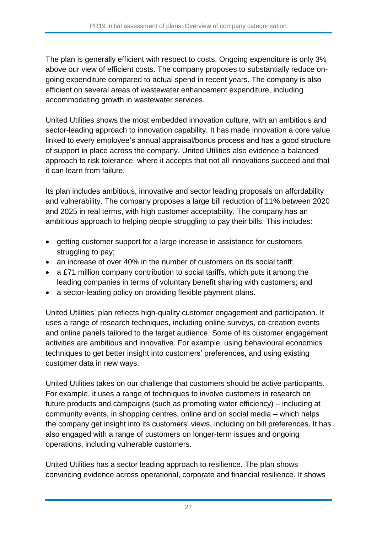The plan is generally efficient with respect to costs. Ongoing expenditure is only 3% above our view of efficient costs. The company proposes to substantially reduce ongoing expenditure compared to actual spend in recent years. The company is also efficient on several areas of wastewater enhancement expenditure, including accommodating growth in wastewater services.

United Utilities shows the most embedded innovation culture, with an ambitious and sector-leading approach to innovation capability. It has made innovation a core value linked to every employee's annual appraisal/bonus process and has a good structure of support in place across the company. United Utilities also evidence a balanced approach to risk tolerance, where it accepts that not all innovations succeed and that it can learn from failure.

Its plan includes ambitious, innovative and sector leading proposals on affordability and vulnerability. The company proposes a large bill reduction of 11% between 2020 and 2025 in real terms, with high customer acceptability. The company has an ambitious approach to helping people struggling to pay their bills. This includes:

- getting customer support for a large increase in assistance for customers struggling to pay;
- an increase of over 40% in the number of customers on its social tariff:
- a £71 million company contribution to social tariffs, which puts it among the leading companies in terms of voluntary benefit sharing with customers; and
- a sector-leading policy on providing flexible payment plans.

United Utilities' plan reflects high-quality customer engagement and participation. It uses a range of research techniques, including online surveys, co-creation events and online panels tailored to the target audience. Some of its customer engagement activities are ambitious and innovative. For example, using behavioural economics techniques to get better insight into customers' preferences, and using existing customer data in new ways.

United Utilities takes on our challenge that customers should be active participants. For example, it uses a range of techniques to involve customers in research on future products and campaigns (such as promoting water efficiency) – including at community events, in shopping centres, online and on social media – which helps the company get insight into its customers' views, including on bill preferences. It has also engaged with a range of customers on longer-term issues and ongoing operations, including vulnerable customers.

United Utilities has a sector leading approach to resilience. The plan shows convincing evidence across operational, corporate and financial resilience. It shows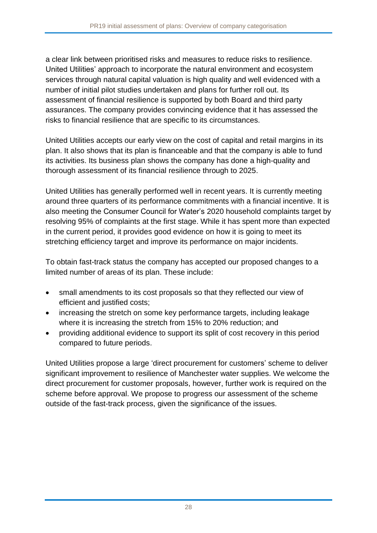a clear link between prioritised risks and measures to reduce risks to resilience. United Utilities' approach to incorporate the natural environment and ecosystem services through natural capital valuation is high quality and well evidenced with a number of initial pilot studies undertaken and plans for further roll out. Its assessment of financial resilience is supported by both Board and third party assurances. The company provides convincing evidence that it has assessed the risks to financial resilience that are specific to its circumstances.

United Utilities accepts our early view on the cost of capital and retail margins in its plan. It also shows that its plan is financeable and that the company is able to fund its activities. Its business plan shows the company has done a high-quality and thorough assessment of its financial resilience through to 2025.

United Utilities has generally performed well in recent years. It is currently meeting around three quarters of its performance commitments with a financial incentive. It is also meeting the Consumer Council for Water's 2020 household complaints target by resolving 95% of complaints at the first stage. While it has spent more than expected in the current period, it provides good evidence on how it is going to meet its stretching efficiency target and improve its performance on major incidents.

To obtain fast-track status the company has accepted our proposed changes to a limited number of areas of its plan. These include:

- small amendments to its cost proposals so that they reflected our view of efficient and justified costs;
- increasing the stretch on some key performance targets, including leakage where it is increasing the stretch from 15% to 20% reduction; and
- providing additional evidence to support its split of cost recovery in this period compared to future periods.

United Utilities propose a large 'direct procurement for customers' scheme to deliver significant improvement to resilience of Manchester water supplies. We welcome the direct procurement for customer proposals, however, further work is required on the scheme before approval. We propose to progress our assessment of the scheme outside of the fast-track process, given the significance of the issues.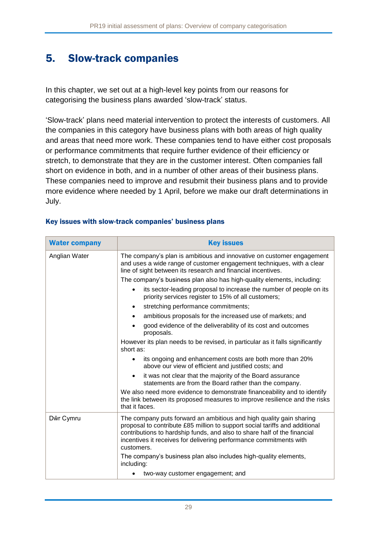# 5. Slow-track companies

In this chapter, we set out at a high-level key points from our reasons for categorising the business plans awarded 'slow-track' status.

'Slow-track' plans need material intervention to protect the interests of customers. All the companies in this category have business plans with both areas of high quality and areas that need more work. These companies tend to have either cost proposals or performance commitments that require further evidence of their efficiency or stretch, to demonstrate that they are in the customer interest. Often companies fall short on evidence in both, and in a number of other areas of their business plans. These companies need to improve and resubmit their business plans and to provide more evidence where needed by 1 April, before we make our draft determinations in July.

| <b>Water company</b> | <b>Key issues</b>                                                                                                                                                                                                                                                                                                  |  |  |
|----------------------|--------------------------------------------------------------------------------------------------------------------------------------------------------------------------------------------------------------------------------------------------------------------------------------------------------------------|--|--|
| Anglian Water        | The company's plan is ambitious and innovative on customer engagement<br>and uses a wide range of customer engagement techniques, with a clear<br>line of sight between its research and financial incentives.                                                                                                     |  |  |
|                      | The company's business plan also has high-quality elements, including:                                                                                                                                                                                                                                             |  |  |
|                      | its sector-leading proposal to increase the number of people on its<br>priority services register to 15% of all customers;                                                                                                                                                                                         |  |  |
|                      | stretching performance commitments;                                                                                                                                                                                                                                                                                |  |  |
|                      | ambitious proposals for the increased use of markets; and                                                                                                                                                                                                                                                          |  |  |
|                      | good evidence of the deliverability of its cost and outcomes<br>proposals.                                                                                                                                                                                                                                         |  |  |
|                      | However its plan needs to be revised, in particular as it falls significantly<br>short as:                                                                                                                                                                                                                         |  |  |
|                      | its ongoing and enhancement costs are both more than 20%<br>above our view of efficient and justified costs; and                                                                                                                                                                                                   |  |  |
|                      | it was not clear that the majority of the Board assurance<br>statements are from the Board rather than the company.                                                                                                                                                                                                |  |  |
|                      | We also need more evidence to demonstrate financeability and to identify<br>the link between its proposed measures to improve resilience and the risks<br>that it faces.                                                                                                                                           |  |  |
| Dŵr Cymru            | The company puts forward an ambitious and high quality gain sharing<br>proposal to contribute £85 million to support social tariffs and additional<br>contributions to hardship funds, and also to share half of the financial<br>incentives it receives for delivering performance commitments with<br>customers. |  |  |
|                      | The company's business plan also includes high-quality elements,<br>including:                                                                                                                                                                                                                                     |  |  |
|                      | two-way customer engagement; and                                                                                                                                                                                                                                                                                   |  |  |

#### Key issues with slow-track companies' business plans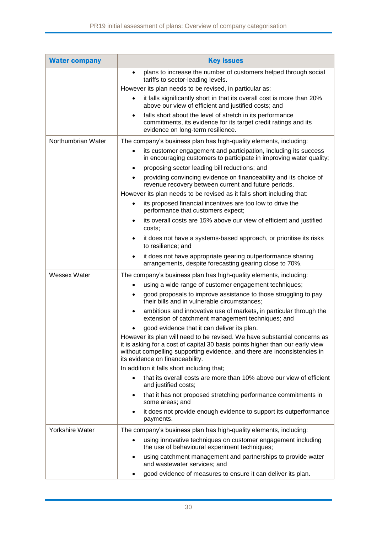| <b>Water company</b> | <b>Key issues</b>                                                                                                                                                                                                                                                         |  |  |
|----------------------|---------------------------------------------------------------------------------------------------------------------------------------------------------------------------------------------------------------------------------------------------------------------------|--|--|
|                      | plans to increase the number of customers helped through social<br>tariffs to sector-leading levels.                                                                                                                                                                      |  |  |
|                      | However its plan needs to be revised, in particular as:                                                                                                                                                                                                                   |  |  |
|                      | it falls significantly short in that its overall cost is more than 20%<br>above our view of efficient and justified costs; and                                                                                                                                            |  |  |
|                      | falls short about the level of stretch in its performance<br>commitments, its evidence for its target credit ratings and its<br>evidence on long-term resilience.                                                                                                         |  |  |
| Northumbrian Water   | The company's business plan has high-quality elements, including:                                                                                                                                                                                                         |  |  |
|                      | its customer engagement and participation, including its success<br>in encouraging customers to participate in improving water quality;                                                                                                                                   |  |  |
|                      | proposing sector leading bill reductions; and                                                                                                                                                                                                                             |  |  |
|                      | providing convincing evidence on financeability and its choice of<br>revenue recovery between current and future periods.                                                                                                                                                 |  |  |
|                      | However its plan needs to be revised as it falls short including that:                                                                                                                                                                                                    |  |  |
|                      | its proposed financial incentives are too low to drive the<br>performance that customers expect;                                                                                                                                                                          |  |  |
|                      | its overall costs are 15% above our view of efficient and justified<br>costs;                                                                                                                                                                                             |  |  |
|                      | it does not have a systems-based approach, or prioritise its risks<br>$\bullet$<br>to resilience; and                                                                                                                                                                     |  |  |
|                      | it does not have appropriate gearing outperformance sharing<br>arrangements, despite forecasting gearing close to 70%.                                                                                                                                                    |  |  |
| <b>Wessex Water</b>  | The company's business plan has high-quality elements, including:                                                                                                                                                                                                         |  |  |
|                      | using a wide range of customer engagement techniques;                                                                                                                                                                                                                     |  |  |
|                      | good proposals to improve assistance to those struggling to pay<br>their bills and in vulnerable circumstances:                                                                                                                                                           |  |  |
|                      | ambitious and innovative use of markets, in particular through the<br>extension of catchment management techniques; and                                                                                                                                                   |  |  |
|                      | good evidence that it can deliver its plan.                                                                                                                                                                                                                               |  |  |
|                      | However its plan will need to be revised. We have substantial concerns as<br>it is asking for a cost of capital 30 basis points higher than our early view<br>without compelling supporting evidence, and there are inconsistencies in<br>its evidence on financeability. |  |  |
|                      | In addition it falls short including that;                                                                                                                                                                                                                                |  |  |
|                      | that its overall costs are more than 10% above our view of efficient<br>and justified costs;                                                                                                                                                                              |  |  |
|                      | that it has not proposed stretching performance commitments in<br>some areas; and                                                                                                                                                                                         |  |  |
|                      | it does not provide enough evidence to support its outperformance<br>payments.                                                                                                                                                                                            |  |  |
| Yorkshire Water      | The company's business plan has high-quality elements, including:                                                                                                                                                                                                         |  |  |
|                      | using innovative techniques on customer engagement including<br>the use of behavioural experiment techniques;                                                                                                                                                             |  |  |
|                      | using catchment management and partnerships to provide water<br>and wastewater services; and                                                                                                                                                                              |  |  |
|                      | good evidence of measures to ensure it can deliver its plan.                                                                                                                                                                                                              |  |  |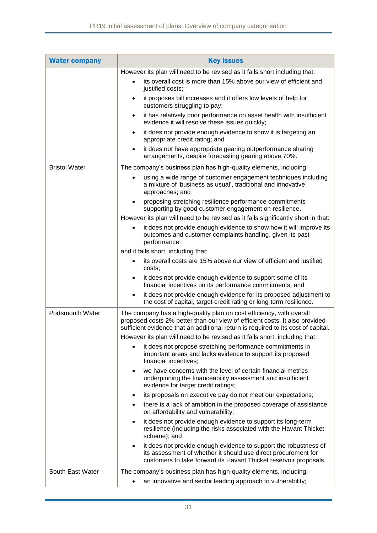| <b>Water company</b> | <b>Key issues</b>                                                                                                                                                                                                                                                                                                       |  |  |  |
|----------------------|-------------------------------------------------------------------------------------------------------------------------------------------------------------------------------------------------------------------------------------------------------------------------------------------------------------------------|--|--|--|
|                      | However its plan will need to be revised as it falls short including that:                                                                                                                                                                                                                                              |  |  |  |
|                      | its overall cost is more than 15% above our view of efficient and<br>justified costs;                                                                                                                                                                                                                                   |  |  |  |
|                      | it proposes bill increases and it offers low levels of help for<br>customers struggling to pay;                                                                                                                                                                                                                         |  |  |  |
|                      | it has relatively poor performance on asset health with insufficient<br>$\bullet$<br>evidence it will resolve these issues quickly;                                                                                                                                                                                     |  |  |  |
|                      | it does not provide enough evidence to show it is targeting an<br>$\bullet$<br>appropriate credit rating; and                                                                                                                                                                                                           |  |  |  |
|                      | it does not have appropriate gearing outperformance sharing<br>arrangements, despite forecasting gearing above 70%.                                                                                                                                                                                                     |  |  |  |
| <b>Bristol Water</b> | The company's business plan has high-quality elements, including:                                                                                                                                                                                                                                                       |  |  |  |
|                      | using a wide range of customer engagement techniques including<br>a mixture of 'business as usual', traditional and innovative<br>approaches; and                                                                                                                                                                       |  |  |  |
|                      | proposing stretching resilience performance commitments<br>supporting by good customer engagement on resilience.                                                                                                                                                                                                        |  |  |  |
|                      | However its plan will need to be revised as it falls significantly short in that:                                                                                                                                                                                                                                       |  |  |  |
|                      | it does not provide enough evidence to show how it will improve its<br>outcomes and customer complaints handling, given its past<br>performance;                                                                                                                                                                        |  |  |  |
|                      | and it falls short, including that:                                                                                                                                                                                                                                                                                     |  |  |  |
|                      | its overall costs are 15% above our view of efficient and justified<br>costs;                                                                                                                                                                                                                                           |  |  |  |
|                      | it does not provide enough evidence to support some of its<br>financial incentives on its performance commitments; and                                                                                                                                                                                                  |  |  |  |
|                      | it does not provide enough evidence for its proposed adjustment to<br>٠<br>the cost of capital, target credit rating or long-term resilience.                                                                                                                                                                           |  |  |  |
| Portsmouth Water     | The company has a high-quality plan on cost efficiency, with overall<br>proposed costs 2% better than our view of efficient costs. It also provided<br>sufficient evidence that an additional return is required to its cost of capital.<br>However its plan will need to be revised as it falls short, including that: |  |  |  |
|                      | it does not propose stretching performance commitments in                                                                                                                                                                                                                                                               |  |  |  |
|                      | important areas and lacks evidence to support its proposed<br>financial incentives;                                                                                                                                                                                                                                     |  |  |  |
|                      | we have concerns with the level of certain financial metrics<br>$\bullet$<br>underpinning the financeability assessment and insufficient<br>evidence for target credit ratings;                                                                                                                                         |  |  |  |
|                      | its proposals on executive pay do not meet our expectations;                                                                                                                                                                                                                                                            |  |  |  |
|                      | there is a lack of ambition in the proposed coverage of assistance<br>on affordability and vulnerability;                                                                                                                                                                                                               |  |  |  |
|                      | it does not provide enough evidence to support its long-term<br>resilience (including the risks associated with the Havant Thicket<br>scheme); and                                                                                                                                                                      |  |  |  |
|                      | it does not provide enough evidence to support the robustness of<br>٠<br>its assessment of whether it should use direct procurement for<br>customers to take forward its Havant Thicket reservoir proposals.                                                                                                            |  |  |  |
| South East Water     | The company's business plan has high-quality elements, including:<br>an innovative and sector leading approach to vulnerability;                                                                                                                                                                                        |  |  |  |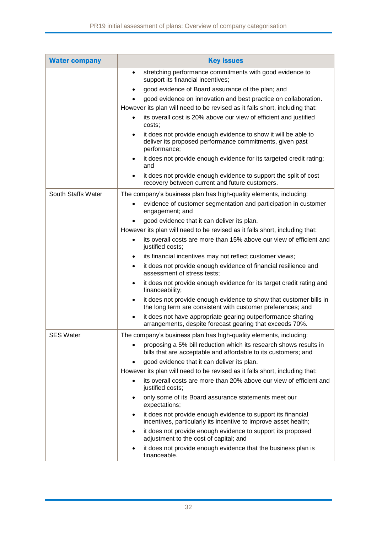| <b>Water company</b> | <b>Key issues</b>                                                                                                                                       |  |  |
|----------------------|---------------------------------------------------------------------------------------------------------------------------------------------------------|--|--|
|                      | stretching performance commitments with good evidence to<br>support its financial incentives;                                                           |  |  |
|                      | good evidence of Board assurance of the plan; and                                                                                                       |  |  |
|                      | good evidence on innovation and best practice on collaboration.                                                                                         |  |  |
|                      | However its plan will need to be revised as it falls short, including that:                                                                             |  |  |
|                      | its overall cost is 20% above our view of efficient and justified<br>costs;                                                                             |  |  |
|                      | it does not provide enough evidence to show it will be able to<br>$\bullet$<br>deliver its proposed performance commitments, given past<br>performance; |  |  |
|                      | it does not provide enough evidence for its targeted credit rating;<br>and                                                                              |  |  |
|                      | it does not provide enough evidence to support the split of cost<br>recovery between current and future customers.                                      |  |  |
| South Staffs Water   | The company's business plan has high-quality elements, including:                                                                                       |  |  |
|                      | evidence of customer segmentation and participation in customer<br>engagement; and                                                                      |  |  |
|                      | good evidence that it can deliver its plan.                                                                                                             |  |  |
|                      | However its plan will need to be revised as it falls short, including that:                                                                             |  |  |
|                      | its overall costs are more than 15% above our view of efficient and<br>justified costs;                                                                 |  |  |
|                      | its financial incentives may not reflect customer views;                                                                                                |  |  |
|                      | it does not provide enough evidence of financial resilience and<br>٠<br>assessment of stress tests;                                                     |  |  |
|                      | it does not provide enough evidence for its target credit rating and<br>$\bullet$<br>financeability;                                                    |  |  |
|                      | it does not provide enough evidence to show that customer bills in<br>the long term are consistent with customer preferences; and                       |  |  |
|                      | it does not have appropriate gearing outperformance sharing<br>$\bullet$<br>arrangements, despite forecast gearing that exceeds 70%.                    |  |  |
| <b>SES Water</b>     | The company's business plan has high-quality elements, including:                                                                                       |  |  |
|                      | proposing a 5% bill reduction which its research shows results in<br>bills that are acceptable and affordable to its customers; and                     |  |  |
|                      | good evidence that it can deliver its plan.                                                                                                             |  |  |
|                      | However its plan will need to be revised as it falls short, including that:                                                                             |  |  |
|                      | its overall costs are more than 20% above our view of efficient and<br>justified costs;                                                                 |  |  |
|                      | only some of its Board assurance statements meet our<br>expectations;                                                                                   |  |  |
|                      | it does not provide enough evidence to support its financial<br>incentives, particularly its incentive to improve asset health;                         |  |  |
|                      | it does not provide enough evidence to support its proposed<br>adjustment to the cost of capital; and                                                   |  |  |
|                      | it does not provide enough evidence that the business plan is<br>financeable.                                                                           |  |  |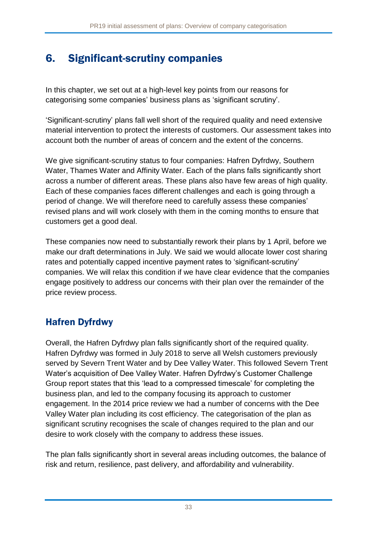# 6. Significant-scrutiny companies

In this chapter, we set out at a high-level key points from our reasons for categorising some companies' business plans as 'significant scrutiny'.

'Significant-scrutiny' plans fall well short of the required quality and need extensive material intervention to protect the interests of customers. Our assessment takes into account both the number of areas of concern and the extent of the concerns.

We give significant-scrutiny status to four companies: Hafren Dyfrdwy, Southern Water, Thames Water and Affinity Water. Each of the plans falls significantly short across a number of different areas. These plans also have few areas of high quality. Each of these companies faces different challenges and each is going through a period of change. We will therefore need to carefully assess these companies' revised plans and will work closely with them in the coming months to ensure that customers get a good deal.

These companies now need to substantially rework their plans by 1 April, before we make our draft determinations in July. We said we would allocate lower cost sharing rates and potentially capped incentive payment rates to 'significant-scrutiny' companies. We will relax this condition if we have clear evidence that the companies engage positively to address our concerns with their plan over the remainder of the price review process.

### Hafren Dyfrdwy

Overall, the Hafren Dyfrdwy plan falls significantly short of the required quality. Hafren Dyfrdwy was formed in July 2018 to serve all Welsh customers previously served by Severn Trent Water and by Dee Valley Water. This followed Severn Trent Water's acquisition of Dee Valley Water. Hafren Dyfrdwy's Customer Challenge Group report states that this 'lead to a compressed timescale' for completing the business plan, and led to the company focusing its approach to customer engagement. In the 2014 price review we had a number of concerns with the Dee Valley Water plan including its cost efficiency. The categorisation of the plan as significant scrutiny recognises the scale of changes required to the plan and our desire to work closely with the company to address these issues.

The plan falls significantly short in several areas including outcomes, the balance of risk and return, resilience, past delivery, and affordability and vulnerability.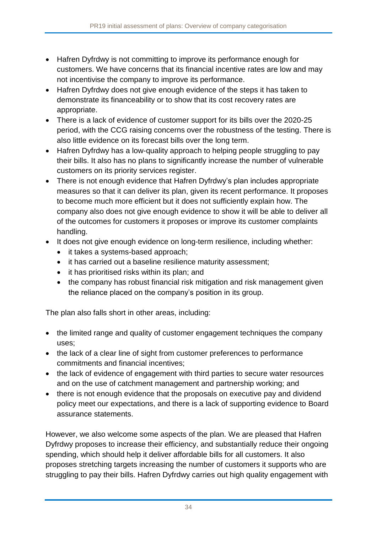- Hafren Dyfrdwy is not committing to improve its performance enough for customers. We have concerns that its financial incentive rates are low and may not incentivise the company to improve its performance.
- Hafren Dyfrdwy does not give enough evidence of the steps it has taken to demonstrate its financeability or to show that its cost recovery rates are appropriate.
- There is a lack of evidence of customer support for its bills over the 2020-25 period, with the CCG raising concerns over the robustness of the testing. There is also little evidence on its forecast bills over the long term.
- Hafren Dyfrdwy has a low-quality approach to helping people struggling to pay their bills. It also has no plans to significantly increase the number of vulnerable customers on its priority services register.
- There is not enough evidence that Hafren Dyfrdwy's plan includes appropriate measures so that it can deliver its plan, given its recent performance. It proposes to become much more efficient but it does not sufficiently explain how. The company also does not give enough evidence to show it will be able to deliver all of the outcomes for customers it proposes or improve its customer complaints handling.
- It does not give enough evidence on long-term resilience, including whether:
	- it takes a systems-based approach;
	- it has carried out a baseline resilience maturity assessment;
	- it has prioritised risks within its plan; and
	- the company has robust financial risk mitigation and risk management given the reliance placed on the company's position in its group.

The plan also falls short in other areas, including:

- the limited range and quality of customer engagement techniques the company uses;
- the lack of a clear line of sight from customer preferences to performance commitments and financial incentives;
- the lack of evidence of engagement with third parties to secure water resources and on the use of catchment management and partnership working; and
- there is not enough evidence that the proposals on executive pay and dividend policy meet our expectations, and there is a lack of supporting evidence to Board assurance statements.

However, we also welcome some aspects of the plan. We are pleased that Hafren Dyfrdwy proposes to increase their efficiency, and substantially reduce their ongoing spending, which should help it deliver affordable bills for all customers. It also proposes stretching targets increasing the number of customers it supports who are struggling to pay their bills. Hafren Dyfrdwy carries out high quality engagement with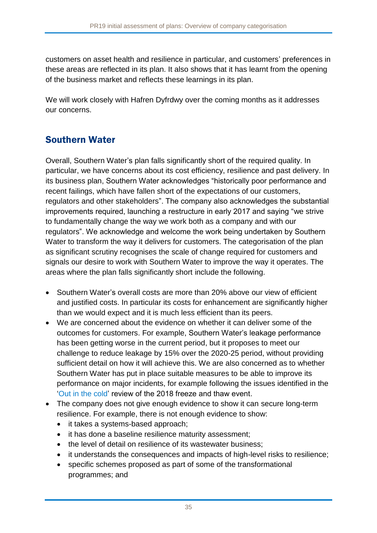customers on asset health and resilience in particular, and customers' preferences in these areas are reflected in its plan. It also shows that it has learnt from the opening of the business market and reflects these learnings in its plan.

We will work closely with Hafren Dyfrdwy over the coming months as it addresses our concerns.

# Southern Water

Overall, Southern Water's plan falls significantly short of the required quality. In particular, we have concerns about its cost efficiency, resilience and past delivery. In its business plan, Southern Water acknowledges "historically poor performance and recent failings, which have fallen short of the expectations of our customers, regulators and other stakeholders". The company also acknowledges the substantial improvements required, launching a restructure in early 2017 and saying "we strive to fundamentally change the way we work both as a company and with our regulators". We acknowledge and welcome the work being undertaken by Southern Water to transform the way it delivers for customers. The categorisation of the plan as significant scrutiny recognises the scale of change required for customers and signals our desire to work with Southern Water to improve the way it operates. The areas where the plan falls significantly short include the following.

- Southern Water's overall costs are more than 20% above our view of efficient and justified costs. In particular its costs for enhancement are significantly higher than we would expect and it is much less efficient than its peers.
- We are concerned about the evidence on whether it can deliver some of the outcomes for customers. For example, Southern Water's leakage performance has been getting worse in the current period, but it proposes to meet our challenge to reduce leakage by 15% over the 2020-25 period, without providing sufficient detail on how it will achieve this. We are also concerned as to whether Southern Water has put in place suitable measures to be able to improve its performance on major incidents, for example following the issues identified in the ['Out in the cold'](https://www.ofwat.gov.uk/wp-content/uploads/2018/06/Thaw-report-FINAL.pdf) review of the 2018 freeze and thaw event.
- The company does not give enough evidence to show it can secure long-term resilience. For example, there is not enough evidence to show:
	- it takes a systems-based approach;
	- it has done a baseline resilience maturity assessment:
	- the level of detail on resilience of its wastewater business;
	- it understands the consequences and impacts of high-level risks to resilience;
	- specific schemes proposed as part of some of the transformational programmes; and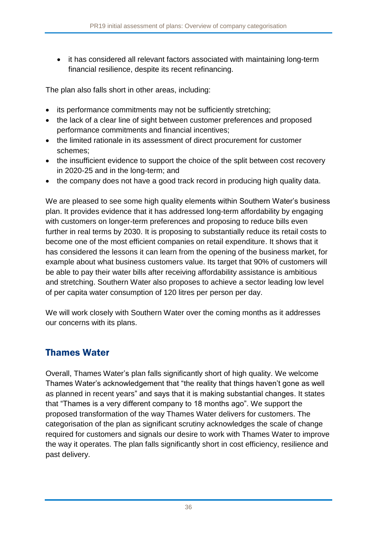• it has considered all relevant factors associated with maintaining long-term financial resilience, despite its recent refinancing.

The plan also falls short in other areas, including:

- its performance commitments may not be sufficiently stretching;
- the lack of a clear line of sight between customer preferences and proposed performance commitments and financial incentives;
- the limited rationale in its assessment of direct procurement for customer schemes;
- the insufficient evidence to support the choice of the split between cost recovery in 2020-25 and in the long-term; and
- the company does not have a good track record in producing high quality data.

We are pleased to see some high quality elements within Southern Water's business plan. It provides evidence that it has addressed long-term affordability by engaging with customers on longer-term preferences and proposing to reduce bills even further in real terms by 2030. It is proposing to substantially reduce its retail costs to become one of the most efficient companies on retail expenditure. It shows that it has considered the lessons it can learn from the opening of the business market, for example about what business customers value. Its target that 90% of customers will be able to pay their water bills after receiving affordability assistance is ambitious and stretching. Southern Water also proposes to achieve a sector leading low level of per capita water consumption of 120 litres per person per day.

We will work closely with Southern Water over the coming months as it addresses our concerns with its plans.

### Thames Water

Overall, Thames Water's plan falls significantly short of high quality. We welcome Thames Water's acknowledgement that "the reality that things haven't gone as well as planned in recent years" and says that it is making substantial changes. It states that "Thames is a very different company to 18 months ago". We support the proposed transformation of the way Thames Water delivers for customers. The categorisation of the plan as significant scrutiny acknowledges the scale of change required for customers and signals our desire to work with Thames Water to improve the way it operates. The plan falls significantly short in cost efficiency, resilience and past delivery.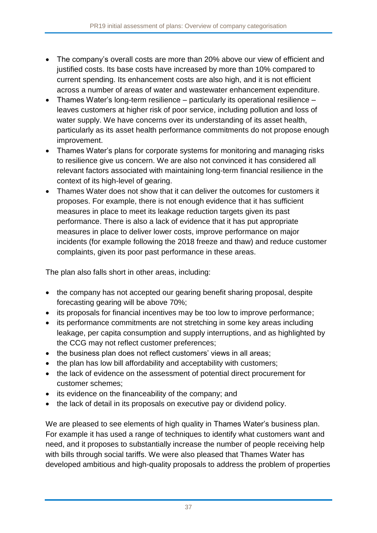- The company's overall costs are more than 20% above our view of efficient and justified costs. Its base costs have increased by more than 10% compared to current spending. Its enhancement costs are also high, and it is not efficient across a number of areas of water and wastewater enhancement expenditure.
- Thames Water's long-term resilience particularly its operational resilience leaves customers at higher risk of poor service, including pollution and loss of water supply. We have concerns over its understanding of its asset health, particularly as its asset health performance commitments do not propose enough improvement.
- Thames Water's plans for corporate systems for monitoring and managing risks to resilience give us concern. We are also not convinced it has considered all relevant factors associated with maintaining long-term financial resilience in the context of its high-level of gearing.
- Thames Water does not show that it can deliver the outcomes for customers it proposes. For example, there is not enough evidence that it has sufficient measures in place to meet its leakage reduction targets given its past performance. There is also a lack of evidence that it has put appropriate measures in place to deliver lower costs, improve performance on major incidents (for example following the 2018 freeze and thaw) and reduce customer complaints, given its poor past performance in these areas.

The plan also falls short in other areas, including:

- the company has not accepted our gearing benefit sharing proposal, despite forecasting gearing will be above 70%;
- its proposals for financial incentives may be too low to improve performance;
- its performance commitments are not stretching in some key areas including leakage, per capita consumption and supply interruptions, and as highlighted by the CCG may not reflect customer preferences;
- the business plan does not reflect customers' views in all areas;
- the plan has low bill affordability and acceptability with customers;
- the lack of evidence on the assessment of potential direct procurement for customer schemes;
- its evidence on the financeability of the company; and
- the lack of detail in its proposals on executive pay or dividend policy.

We are pleased to see elements of high quality in Thames Water's business plan. For example it has used a range of techniques to identify what customers want and need, and it proposes to substantially increase the number of people receiving help with bills through social tariffs. We were also pleased that Thames Water has developed ambitious and high-quality proposals to address the problem of properties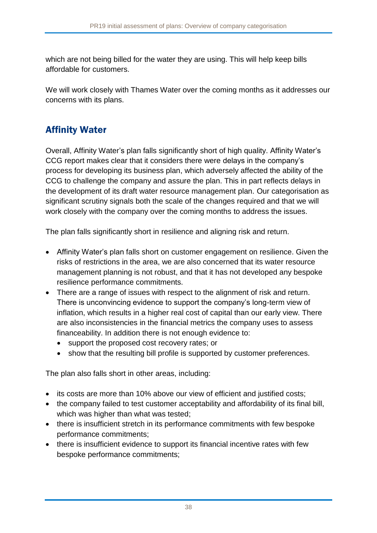which are not being billed for the water they are using. This will help keep bills affordable for customers.

We will work closely with Thames Water over the coming months as it addresses our concerns with its plans.

### Affinity Water

Overall, Affinity Water's plan falls significantly short of high quality. Affinity Water's CCG report makes clear that it considers there were delays in the company's process for developing its business plan, which adversely affected the ability of the CCG to challenge the company and assure the plan. This in part reflects delays in the development of its draft water resource management plan. Our categorisation as significant scrutiny signals both the scale of the changes required and that we will work closely with the company over the coming months to address the issues.

The plan falls significantly short in resilience and aligning risk and return.

- Affinity Water's plan falls short on customer engagement on resilience. Given the risks of restrictions in the area, we are also concerned that its water resource management planning is not robust, and that it has not developed any bespoke resilience performance commitments.
- There are a range of issues with respect to the alignment of risk and return. There is unconvincing evidence to support the company's long-term view of inflation, which results in a higher real cost of capital than our early view. There are also inconsistencies in the financial metrics the company uses to assess financeability. In addition there is not enough evidence to:
	- support the proposed cost recovery rates; or
	- show that the resulting bill profile is supported by customer preferences.

The plan also falls short in other areas, including:

- its costs are more than 10% above our view of efficient and justified costs;
- the company failed to test customer acceptability and affordability of its final bill, which was higher than what was tested;
- there is insufficient stretch in its performance commitments with few bespoke performance commitments;
- there is insufficient evidence to support its financial incentive rates with few bespoke performance commitments;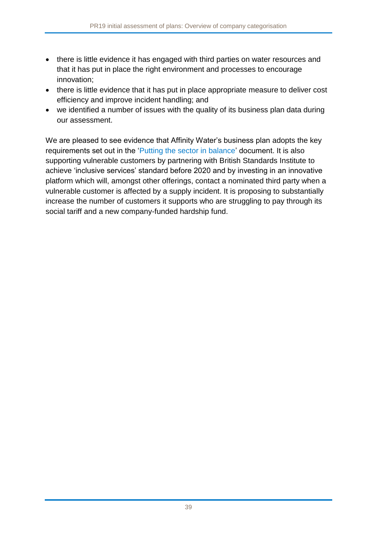- there is little evidence it has engaged with third parties on water resources and that it has put in place the right environment and processes to encourage innovation;
- there is little evidence that it has put in place appropriate measure to deliver cost efficiency and improve incident handling; and
- we identified a number of issues with the quality of its business plan data during our assessment.

We are pleased to see evidence that Affinity Water's business plan adopts the key requirements set out in the ['Putting the sector in balance'](https://www.ofwat.gov.uk/publication/putting-sector-balance-position-statement-pr19-business-plans/) document. It is also supporting vulnerable customers by partnering with British Standards Institute to achieve 'inclusive services' standard before 2020 and by investing in an innovative platform which will, amongst other offerings, contact a nominated third party when a vulnerable customer is affected by a supply incident. It is proposing to substantially increase the number of customers it supports who are struggling to pay through its social tariff and a new company-funded hardship fund.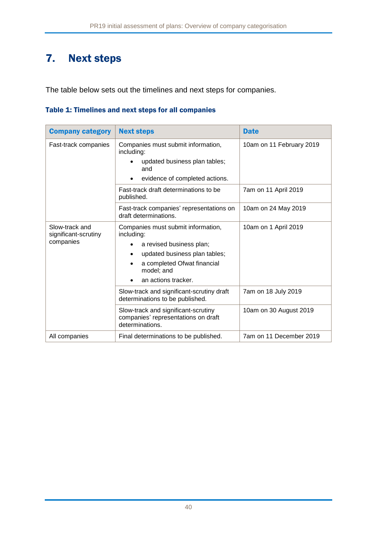# 7. Next steps

The table below sets out the timelines and next steps for companies.

#### Table 1: Timelines and next steps for all companies

| <b>Company category</b>                | <b>Next steps</b>                                                                             | <b>Date</b>              |
|----------------------------------------|-----------------------------------------------------------------------------------------------|--------------------------|
| Fast-track companies                   | Companies must submit information,<br>including:                                              | 10am on 11 February 2019 |
|                                        | updated business plan tables;<br>and                                                          |                          |
|                                        | evidence of completed actions.                                                                |                          |
|                                        | Fast-track draft determinations to be<br>published.                                           | 7am on 11 April 2019     |
|                                        | Fast-track companies' representations on<br>draft determinations.                             | 10am on 24 May 2019      |
| Slow-track and<br>significant-scrutiny | Companies must submit information,<br>including:                                              | 10am on 1 April 2019     |
| companies                              | a revised business plan;<br>$\bullet$                                                         |                          |
|                                        | updated business plan tables;<br>$\bullet$                                                    |                          |
|                                        | a completed Ofwat financial<br>model; and                                                     |                          |
|                                        | an actions tracker.<br>$\bullet$                                                              |                          |
|                                        | Slow-track and significant-scrutiny draft<br>determinations to be published.                  | 7am on 18 July 2019      |
|                                        | Slow-track and significant-scrutiny<br>companies' representations on draft<br>determinations. | 10am on 30 August 2019   |
| All companies                          | Final determinations to be published.                                                         | 7am on 11 December 2019  |